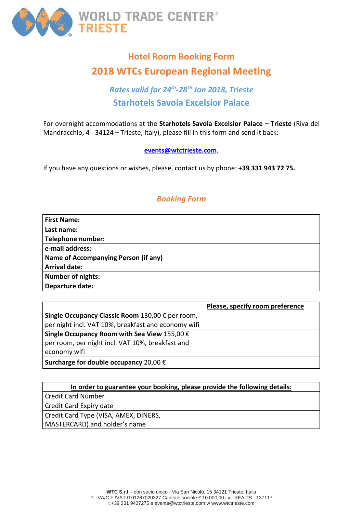

# **Hotel Room Booking Form 2018 WTCs European Regional Meeting**

## *Rates valid for 24th-28th Jan 2018, Trieste* **Starhotels Savoia Excelsior Palace**

For overnight accommodations at the **Starhotels Savoia Excelsior Palace – Trieste** (Riva del Mandracchio, 4 - 34124 – Trieste, Italy), please fill in this form and send it back:

### **[events@wtctrieste.com](mailto:events@wtctrieste.com)**.

If you have any questions or wishes, please, contact us by phone: **+39 331 943 72 75.**

## *Booking Form*

| <b>First Name:</b>                   |  |
|--------------------------------------|--|
| Last name:                           |  |
| Telephone number:                    |  |
| e-mail address:                      |  |
| Name of Accompanying Person (if any) |  |
| <b>Arrival date:</b>                 |  |
| <b>Number of nights:</b>             |  |
| Departure date:                      |  |

|                                                       | Please, specify room preference |
|-------------------------------------------------------|---------------------------------|
| Single Occupancy Classic Room 130,00 € per room,      |                                 |
| per night incl. VAT 10%, breakfast and economy wifi   |                                 |
| Single Occupancy Room with Sea View 155,00 $\epsilon$ |                                 |
| per room, per night incl. VAT 10%, breakfast and      |                                 |
| economy wifi                                          |                                 |
| Surcharge for double occupancy 20,00 $\epsilon$       |                                 |

| In order to guarantee your booking, please provide the following details: |  |  |  |
|---------------------------------------------------------------------------|--|--|--|
| <b>Credit Card Number</b>                                                 |  |  |  |
| Credit Card Expiry date                                                   |  |  |  |
| Credit Card Type (VISA, AMEX, DINERS,                                     |  |  |  |
| MASTERCARD) and holder's name                                             |  |  |  |